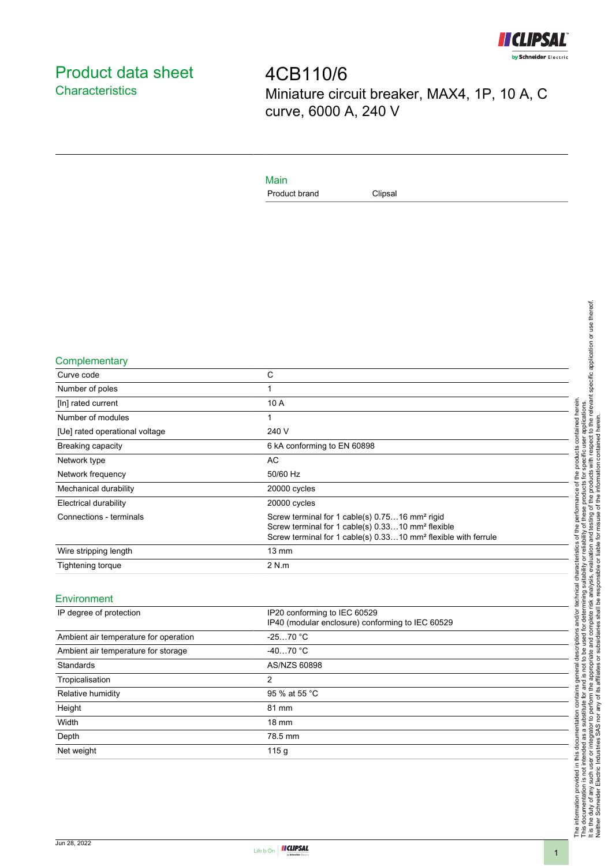

# <span id="page-0-0"></span>Product data sheet **Characteristics**

4CB110/6 Miniature circuit breaker, MAX4, 1P, 10 A, C curve, 6000 A, 240 V

### Main

Product brand Clipsal

**Complementary** 

| Curve code                     | C                                                                                                                                                                                                         |
|--------------------------------|-----------------------------------------------------------------------------------------------------------------------------------------------------------------------------------------------------------|
| Number of poles                | 1                                                                                                                                                                                                         |
| [In] rated current             | 10 A                                                                                                                                                                                                      |
| Number of modules              | 1                                                                                                                                                                                                         |
| [Ue] rated operational voltage | 240 V                                                                                                                                                                                                     |
| <b>Breaking capacity</b>       | 6 kA conforming to EN 60898                                                                                                                                                                               |
| Network type                   | <b>AC</b>                                                                                                                                                                                                 |
| Network frequency              | 50/60 Hz                                                                                                                                                                                                  |
| Mechanical durability          | 20000 cycles                                                                                                                                                                                              |
| Electrical durability          | 20000 cycles                                                                                                                                                                                              |
| Connections - terminals        | Screw terminal for 1 cable(s) 0.7516 mm <sup>2</sup> rigid<br>Screw terminal for 1 cable(s) 0.3310 mm <sup>2</sup> flexible<br>Screw terminal for 1 cable(s) 0.3310 mm <sup>2</sup> flexible with ferrule |
| Wire stripping length          | $13 \text{ mm}$                                                                                                                                                                                           |
| Tightening torque              | 2 N.m                                                                                                                                                                                                     |
|                                |                                                                                                                                                                                                           |

#### Environment

| IP degree of protection               | IP20 conforming to IEC 60529<br>IP40 (modular enclosure) conforming to IEC 60529 |
|---------------------------------------|----------------------------------------------------------------------------------|
| Ambient air temperature for operation | $-2570 °C$                                                                       |
| Ambient air temperature for storage   | $-4070$ °C                                                                       |
| <b>Standards</b>                      | AS/NZS 60898                                                                     |
| Tropicalisation                       | 2                                                                                |
| Relative humidity                     | 95 % at 55 °C                                                                    |
| Height                                | 81 mm                                                                            |
| Width                                 | $18 \text{ mm}$                                                                  |
| Depth                                 | 78.5 mm                                                                          |
| Net weight                            | 115g                                                                             |